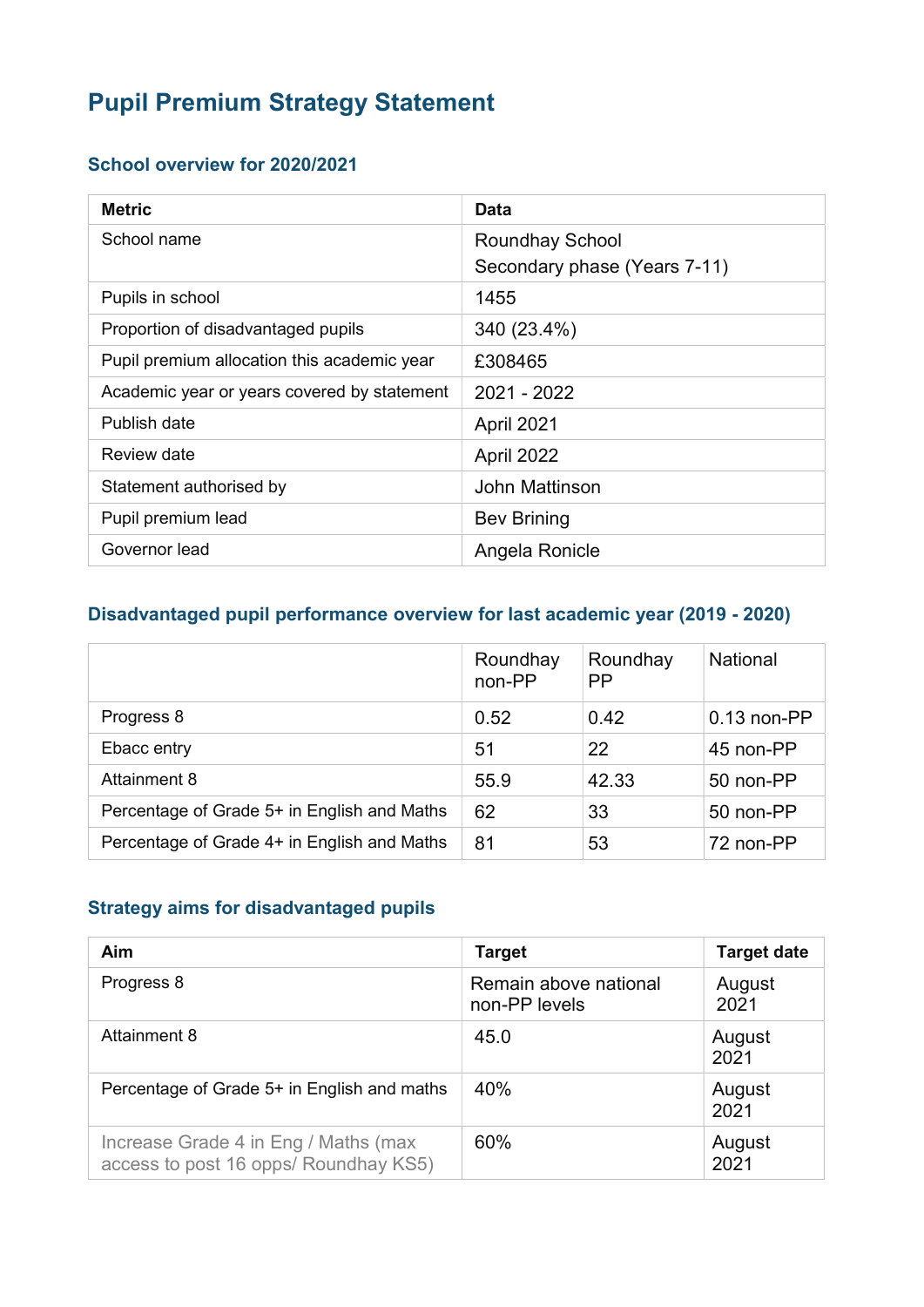# Pupil Premium Strategy Statement

#### School overview for 2020/2021

| <b>Metric</b>                               | <b>Data</b>                  |
|---------------------------------------------|------------------------------|
| School name                                 | <b>Roundhay School</b>       |
|                                             | Secondary phase (Years 7-11) |
| Pupils in school                            | 1455                         |
| Proportion of disadvantaged pupils          | 340 (23.4%)                  |
| Pupil premium allocation this academic year | £308465                      |
| Academic year or years covered by statement | 2021 - 2022                  |
| Publish date                                | April 2021                   |
| Review date                                 | April 2022                   |
| Statement authorised by                     | John Mattinson               |
| Pupil premium lead                          | <b>Bev Brining</b>           |
| Governor lead                               | Angela Ronicle               |

# Disadvantaged pupil performance overview for last academic year (2019 - 2020)

|                                             | Roundhay<br>non-PP | Roundhay<br><b>PP</b> | <b>National</b> |
|---------------------------------------------|--------------------|-----------------------|-----------------|
| Progress 8                                  | 0.52               | 0.42                  | $0.13$ non-PP   |
| Ebacc entry                                 | 51                 | 22                    | 45 non-PP       |
| <b>Attainment 8</b>                         | 55.9               | 42.33                 | 50 non-PP       |
| Percentage of Grade 5+ in English and Maths | 62                 | 33                    | 50 non-PP       |
| Percentage of Grade 4+ in English and Maths | 81                 | 53                    | 72 non-PP       |

#### Strategy aims for disadvantaged pupils

| <b>Aim</b>                                                                    | <b>Target</b>                          | <b>Target date</b> |
|-------------------------------------------------------------------------------|----------------------------------------|--------------------|
| Progress 8                                                                    | Remain above national<br>non-PP levels | August<br>2021     |
| Attainment 8                                                                  | 45.0                                   | August<br>2021     |
| Percentage of Grade 5+ in English and maths                                   | 40%                                    | August<br>2021     |
| Increase Grade 4 in Eng / Maths (max<br>access to post 16 opps/ Roundhay KS5) | 60%                                    | August<br>2021     |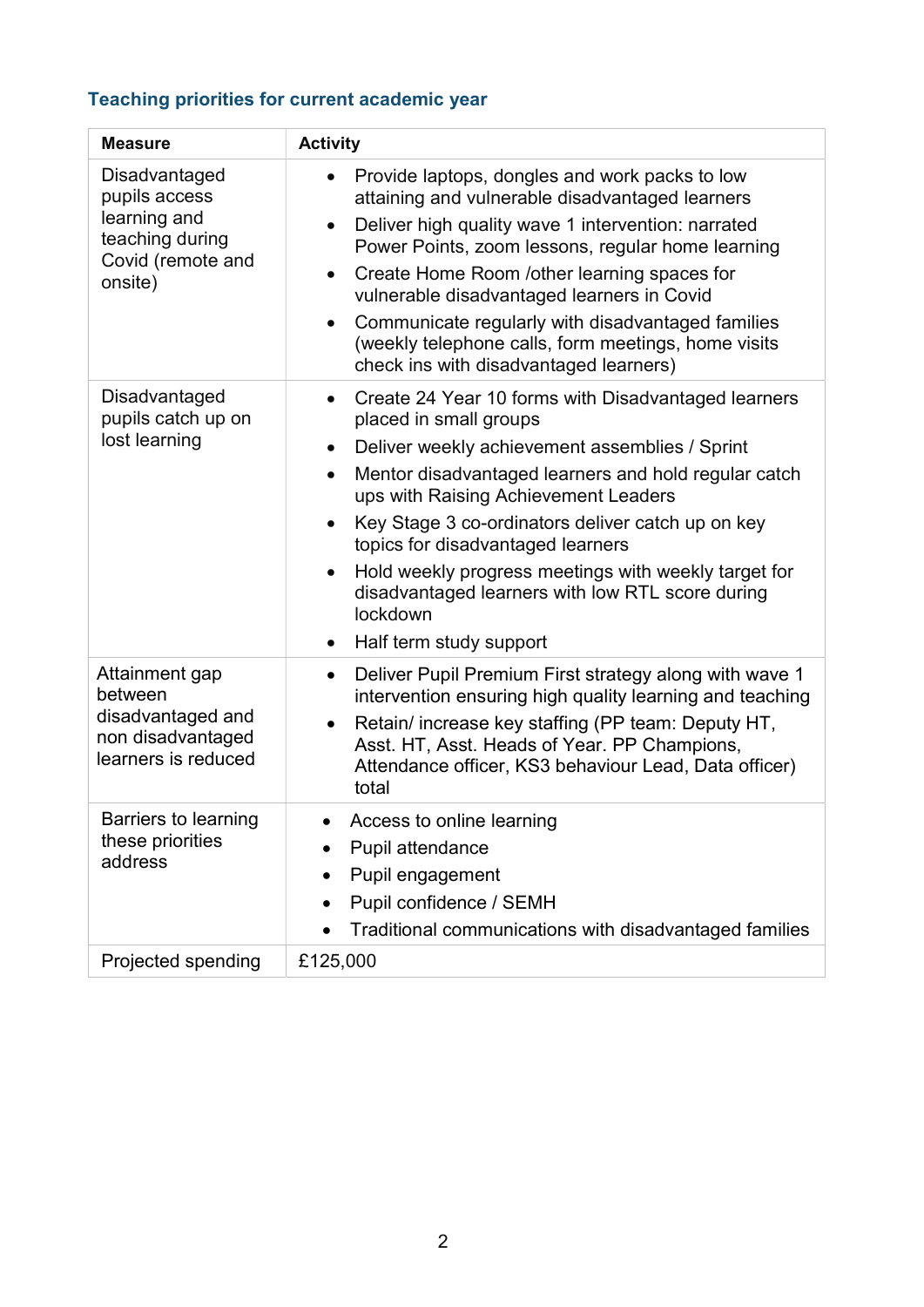# Teaching priorities for current academic year

| <b>Measure</b>                                                                                    | <b>Activity</b>                                                                                                                                                                                                                                                                                                                                                                                                                                                                                                                                            |
|---------------------------------------------------------------------------------------------------|------------------------------------------------------------------------------------------------------------------------------------------------------------------------------------------------------------------------------------------------------------------------------------------------------------------------------------------------------------------------------------------------------------------------------------------------------------------------------------------------------------------------------------------------------------|
| Disadvantaged<br>pupils access<br>learning and<br>teaching during<br>Covid (remote and<br>onsite) | Provide laptops, dongles and work packs to low<br>$\bullet$<br>attaining and vulnerable disadvantaged learners<br>Deliver high quality wave 1 intervention: narrated<br>$\bullet$<br>Power Points, zoom lessons, regular home learning<br>Create Home Room /other learning spaces for<br>$\bullet$<br>vulnerable disadvantaged learners in Covid<br>Communicate regularly with disadvantaged families<br>$\bullet$<br>(weekly telephone calls, form meetings, home visits<br>check ins with disadvantaged learners)                                        |
| Disadvantaged<br>pupils catch up on<br>lost learning                                              | Create 24 Year 10 forms with Disadvantaged learners<br>$\bullet$<br>placed in small groups<br>Deliver weekly achievement assemblies / Sprint<br>$\bullet$<br>Mentor disadvantaged learners and hold regular catch<br>$\bullet$<br>ups with Raising Achievement Leaders<br>Key Stage 3 co-ordinators deliver catch up on key<br>$\bullet$<br>topics for disadvantaged learners<br>Hold weekly progress meetings with weekly target for<br>$\bullet$<br>disadvantaged learners with low RTL score during<br>lockdown<br>Half term study support<br>$\bullet$ |
| Attainment gap<br>between<br>disadvantaged and<br>non disadvantaged<br>learners is reduced        | Deliver Pupil Premium First strategy along with wave 1<br>$\bullet$<br>intervention ensuring high quality learning and teaching<br>Retain/ increase key staffing (PP team: Deputy HT,<br>$\bullet$<br>Asst. HT, Asst. Heads of Year. PP Champions,<br>Attendance officer, KS3 behaviour Lead, Data officer)<br>total                                                                                                                                                                                                                                       |
| <b>Barriers to learning</b><br>these priorities<br>address                                        | Access to online learning<br>Pupil attendance<br>Pupil engagement<br>Pupil confidence / SEMH<br>Traditional communications with disadvantaged families<br>$\bullet$                                                                                                                                                                                                                                                                                                                                                                                        |
| Projected spending                                                                                | £125,000                                                                                                                                                                                                                                                                                                                                                                                                                                                                                                                                                   |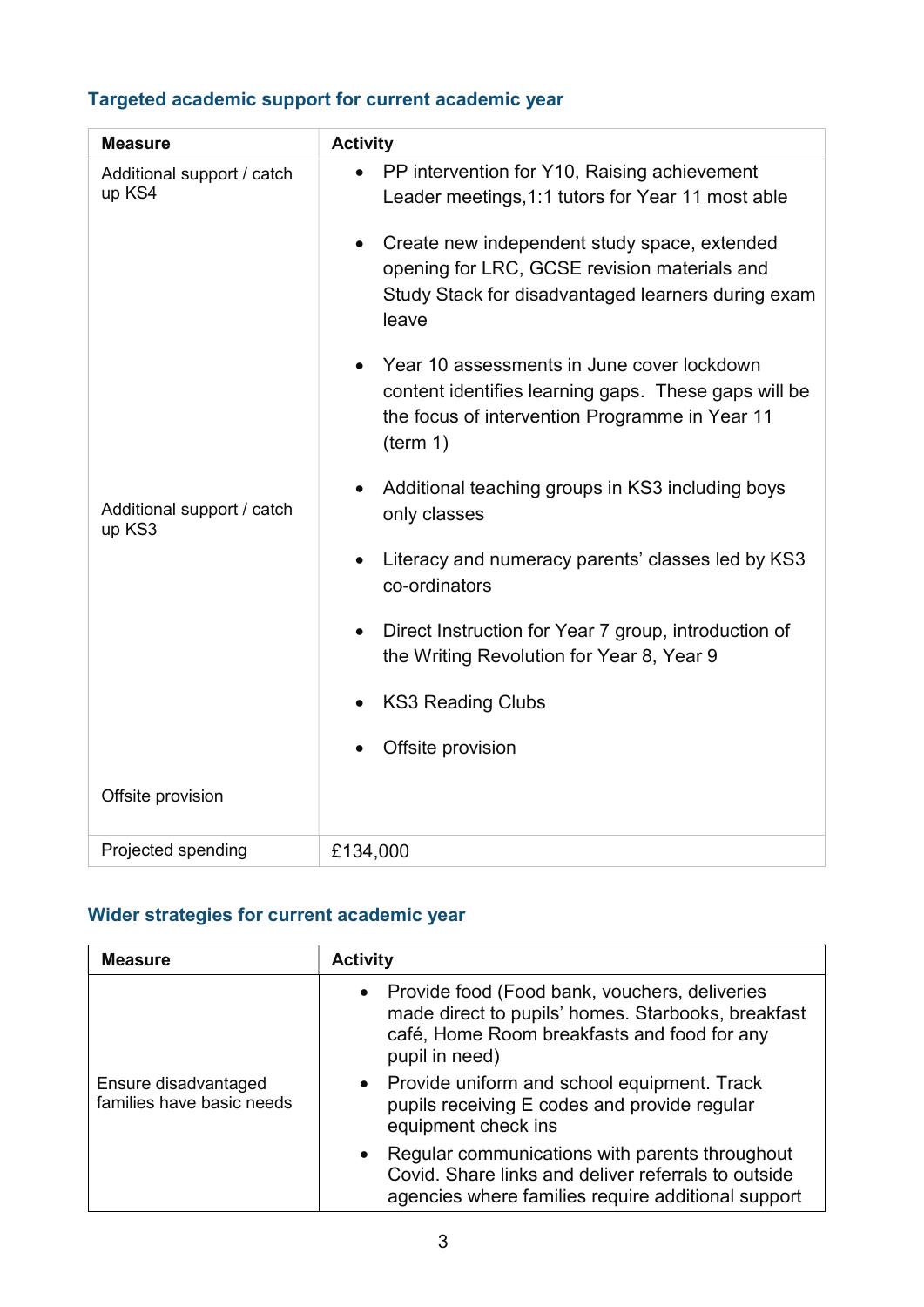# Targeted academic support for current academic year

| <b>Measure</b>                                                               | <b>Activity</b>                                                                                                                                                                                                                                                               |
|------------------------------------------------------------------------------|-------------------------------------------------------------------------------------------------------------------------------------------------------------------------------------------------------------------------------------------------------------------------------|
| Additional support / catch<br>up KS4<br>Additional support / catch<br>up KS3 | PP intervention for Y10, Raising achievement<br>$\bullet$<br>Leader meetings, 1:1 tutors for Year 11 most able<br>Create new independent study space, extended<br>opening for LRC, GCSE revision materials and<br>Study Stack for disadvantaged learners during exam<br>leave |
|                                                                              | Year 10 assessments in June cover lockdown<br>content identifies learning gaps. These gaps will be<br>the focus of intervention Programme in Year 11<br>(term 1)                                                                                                              |
|                                                                              | Additional teaching groups in KS3 including boys<br>$\bullet$<br>only classes                                                                                                                                                                                                 |
|                                                                              | Literacy and numeracy parents' classes led by KS3<br>co-ordinators                                                                                                                                                                                                            |
|                                                                              | Direct Instruction for Year 7 group, introduction of<br>the Writing Revolution for Year 8, Year 9                                                                                                                                                                             |
|                                                                              | <b>KS3 Reading Clubs</b>                                                                                                                                                                                                                                                      |
|                                                                              | Offsite provision                                                                                                                                                                                                                                                             |
| Offsite provision                                                            |                                                                                                                                                                                                                                                                               |
| Projected spending                                                           | £134,000                                                                                                                                                                                                                                                                      |

# Wider strategies for current academic year

| <b>Measure</b>                                    | <b>Activity</b>                                                                                                                                                          |
|---------------------------------------------------|--------------------------------------------------------------------------------------------------------------------------------------------------------------------------|
| Ensure disadvantaged<br>families have basic needs | • Provide food (Food bank, vouchers, deliveries<br>made direct to pupils' homes. Starbooks, breakfast<br>café, Home Room breakfasts and food for any<br>pupil in need)   |
|                                                   | Provide uniform and school equipment. Track<br>$\bullet$<br>pupils receiving E codes and provide regular<br>equipment check ins                                          |
|                                                   | Regular communications with parents throughout<br>$\bullet$<br>Covid. Share links and deliver referrals to outside<br>agencies where families require additional support |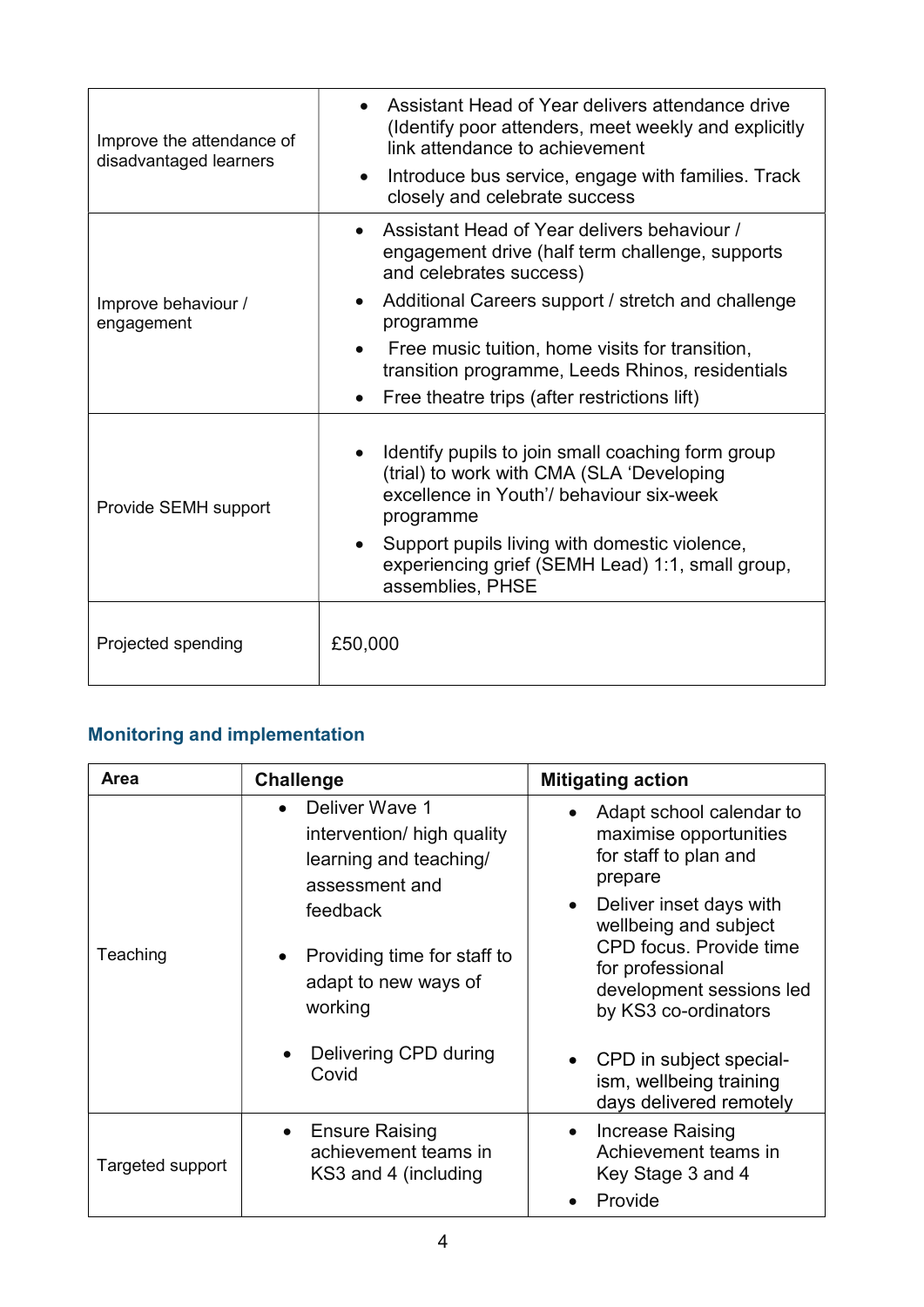| Improve the attendance of<br>disadvantaged learners | Assistant Head of Year delivers attendance drive<br>(Identify poor attenders, meet weekly and explicitly<br>link attendance to achievement<br>Introduce bus service, engage with families. Track<br>closely and celebrate success                                                                                                                   |
|-----------------------------------------------------|-----------------------------------------------------------------------------------------------------------------------------------------------------------------------------------------------------------------------------------------------------------------------------------------------------------------------------------------------------|
| Improve behaviour /<br>engagement                   | Assistant Head of Year delivers behaviour /<br>engagement drive (half term challenge, supports<br>and celebrates success)<br>Additional Careers support / stretch and challenge<br>programme<br>Free music tuition, home visits for transition,<br>transition programme, Leeds Rhinos, residentials<br>Free theatre trips (after restrictions lift) |
| Provide SEMH support                                | Identify pupils to join small coaching form group<br>(trial) to work with CMA (SLA 'Developing<br>excellence in Youth'/ behaviour six-week<br>programme<br>Support pupils living with domestic violence,<br>experiencing grief (SEMH Lead) 1:1, small group,<br>assemblies, PHSE                                                                    |
| Projected spending                                  | £50,000                                                                                                                                                                                                                                                                                                                                             |

# Monitoring and implementation

| <b>Area</b>      | <b>Challenge</b>                                                                                                                                                                                         | <b>Mitigating action</b>                                                                                                                                                                                                                                                                              |
|------------------|----------------------------------------------------------------------------------------------------------------------------------------------------------------------------------------------------------|-------------------------------------------------------------------------------------------------------------------------------------------------------------------------------------------------------------------------------------------------------------------------------------------------------|
| Teaching         | Deliver Wave 1<br>intervention/ high quality<br>learning and teaching/<br>assessment and<br>feedback<br>Providing time for staff to<br>adapt to new ways of<br>working<br>Delivering CPD during<br>Covid | Adapt school calendar to<br>maximise opportunities<br>for staff to plan and<br>prepare<br>Deliver inset days with<br>wellbeing and subject<br>CPD focus. Provide time<br>for professional<br>development sessions led<br>by KS3 co-ordinators<br>• CPD in subject special-<br>ism, wellbeing training |
|                  |                                                                                                                                                                                                          | days delivered remotely                                                                                                                                                                                                                                                                               |
| Targeted support | <b>Ensure Raising</b><br>achievement teams in<br>KS3 and 4 (including                                                                                                                                    | Increase Raising<br>$\bullet$<br>Achievement teams in<br>Key Stage 3 and 4<br>Provide                                                                                                                                                                                                                 |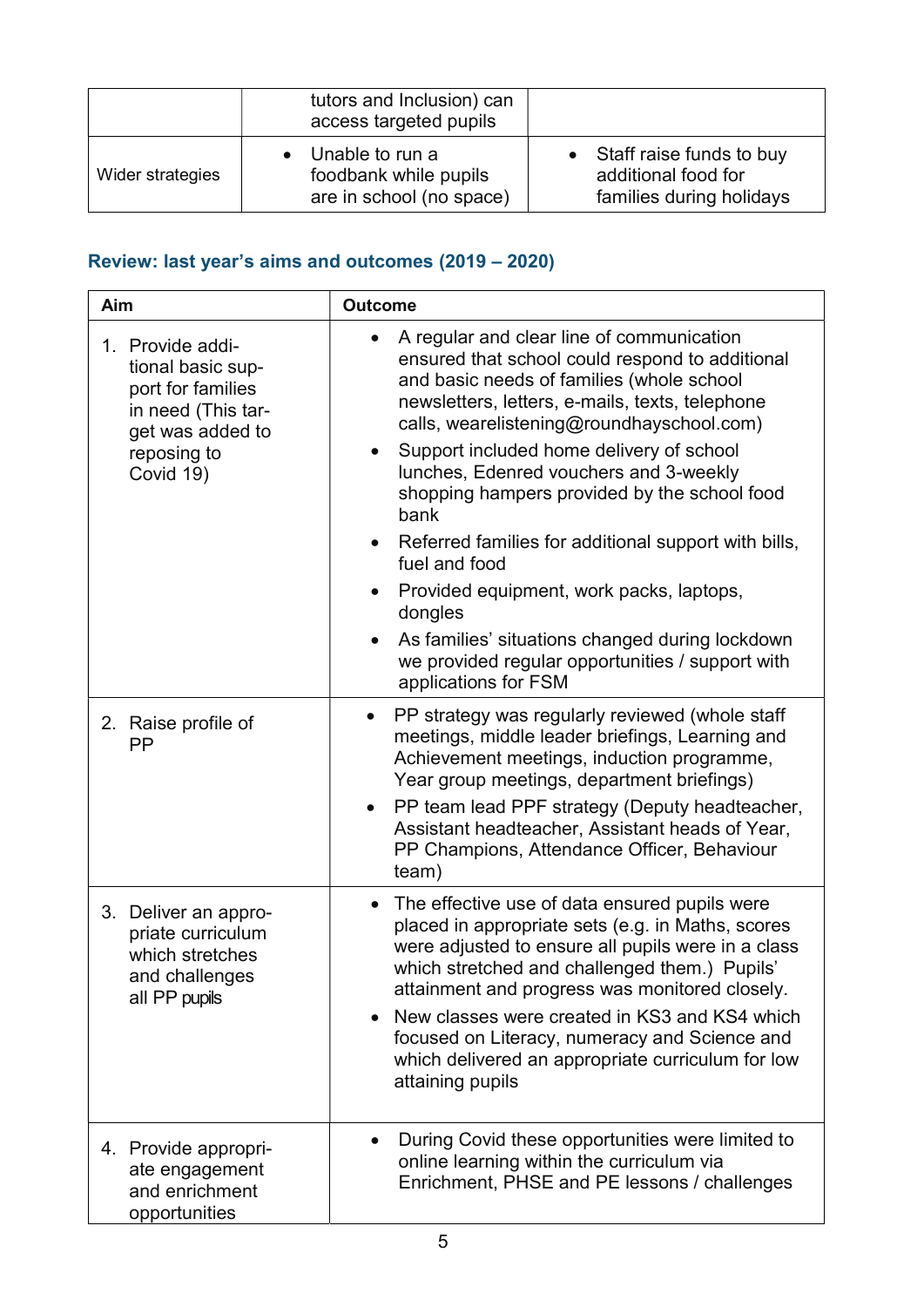|                  | tutors and Inclusion) can<br>access targeted pupils                    |                                                                               |
|------------------|------------------------------------------------------------------------|-------------------------------------------------------------------------------|
| Wider strategies | • Unable to run a<br>foodbank while pupils<br>are in school (no space) | • Staff raise funds to buy<br>additional food for<br>families during holidays |

# Review: last year's aims and outcomes (2019 – 2020)

| Aim                                                                                                                              | <b>Outcome</b>                                                                                                                                                                                                                                                                                                                                                                                                                                                                                                                                                                                                                                                                                             |
|----------------------------------------------------------------------------------------------------------------------------------|------------------------------------------------------------------------------------------------------------------------------------------------------------------------------------------------------------------------------------------------------------------------------------------------------------------------------------------------------------------------------------------------------------------------------------------------------------------------------------------------------------------------------------------------------------------------------------------------------------------------------------------------------------------------------------------------------------|
| 1. Provide addi-<br>tional basic sup-<br>port for families<br>in need (This tar-<br>get was added to<br>reposing to<br>Covid 19) | A regular and clear line of communication<br>$\bullet$<br>ensured that school could respond to additional<br>and basic needs of families (whole school<br>newsletters, letters, e-mails, texts, telephone<br>calls, wearelistening@roundhayschool.com)<br>Support included home delivery of school<br>$\bullet$<br>lunches, Edenred vouchers and 3-weekly<br>shopping hampers provided by the school food<br>bank<br>Referred families for additional support with bills,<br>$\bullet$<br>fuel and food<br>Provided equipment, work packs, laptops,<br>$\bullet$<br>dongles<br>As families' situations changed during lockdown<br>we provided regular opportunities / support with<br>applications for FSM |
| 2. Raise profile of<br><b>PP</b>                                                                                                 | PP strategy was regularly reviewed (whole staff<br>$\bullet$<br>meetings, middle leader briefings, Learning and<br>Achievement meetings, induction programme,<br>Year group meetings, department briefings)<br>PP team lead PPF strategy (Deputy headteacher,<br>$\bullet$<br>Assistant headteacher, Assistant heads of Year,<br>PP Champions, Attendance Officer, Behaviour<br>team)                                                                                                                                                                                                                                                                                                                      |
| 3. Deliver an appro-<br>priate curriculum<br>which stretches<br>and challenges<br>all PP pupils                                  | The effective use of data ensured pupils were<br>placed in appropriate sets (e.g. in Maths, scores<br>were adjusted to ensure all pupils were in a class<br>which stretched and challenged them.) Pupils'<br>attainment and progress was monitored closely.<br>New classes were created in KS3 and KS4 which<br>focused on Literacy, numeracy and Science and<br>which delivered an appropriate curriculum for low<br>attaining pupils                                                                                                                                                                                                                                                                     |
| 4. Provide appropri-<br>ate engagement<br>and enrichment<br>opportunities                                                        | During Covid these opportunities were limited to<br>online learning within the curriculum via<br>Enrichment, PHSE and PE lessons / challenges                                                                                                                                                                                                                                                                                                                                                                                                                                                                                                                                                              |